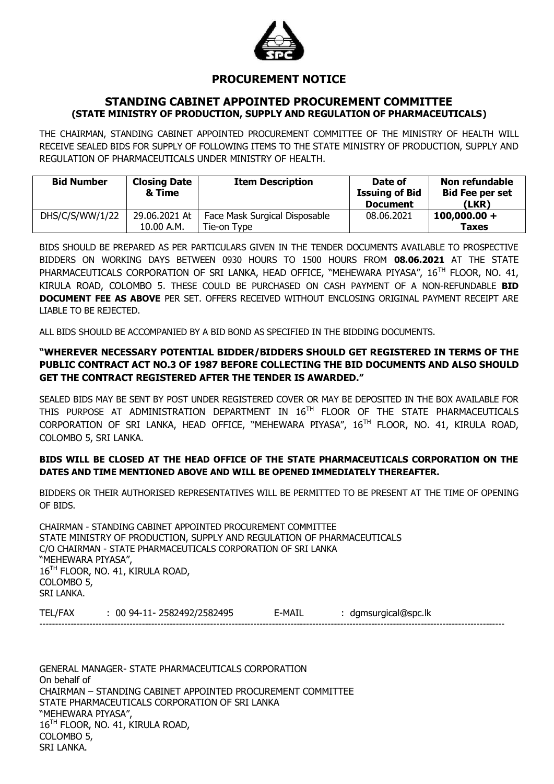

# **PROCUREMENT NOTICE**

### **STANDING CABINET APPOINTED PROCUREMENT COMMITTEE (STATE MINISTRY OF PRODUCTION, SUPPLY AND REGULATION OF PHARMACEUTICALS)**

THE CHAIRMAN, STANDING CABINET APPOINTED PROCUREMENT COMMITTEE OF THE MINISTRY OF HEALTH WILL RECEIVE SEALED BIDS FOR SUPPLY OF FOLLOWING ITEMS TO THE STATE MINISTRY OF PRODUCTION, SUPPLY AND REGULATION OF PHARMACEUTICALS UNDER MINISTRY OF HEALTH.

| <b>Bid Number</b> | <b>Closing Date</b><br>& Time | <b>Item Description</b>       | Date of<br><b>Issuing of Bid</b><br><b>Document</b> | <b>Non refundable</b><br><b>Bid Fee per set</b><br>(LKR) |
|-------------------|-------------------------------|-------------------------------|-----------------------------------------------------|----------------------------------------------------------|
| DHS/C/S/WW/1/22   | 29.06.2021 At                 | Face Mask Surgical Disposable | 08.06.2021                                          | $100,000.00 +$                                           |
|                   | 10.00 A.M.                    | Tie-on Type                   |                                                     | <b>Taxes</b>                                             |

BIDS SHOULD BE PREPARED AS PER PARTICULARS GIVEN IN THE TENDER DOCUMENTS AVAILABLE TO PROSPECTIVE BIDDERS ON WORKING DAYS BETWEEN 0930 HOURS TO 1500 HOURS FROM **08.06.2021** AT THE STATE PHARMACEUTICALS CORPORATION OF SRI LANKA, HEAD OFFICE, "MEHEWARA PIYASA", 16<sup>TH</sup> FLOOR, NO. 41, KIRULA ROAD, COLOMBO 5. THESE COULD BE PURCHASED ON CASH PAYMENT OF A NON-REFUNDABLE **BID DOCUMENT FEE AS ABOVE** PER SET. OFFERS RECEIVED WITHOUT ENCLOSING ORIGINAL PAYMENT RECEIPT ARE LIABLE TO BE REJECTED.

ALL BIDS SHOULD BE ACCOMPANIED BY A BID BOND AS SPECIFIED IN THE BIDDING DOCUMENTS.

## **"WHEREVER NECESSARY POTENTIAL BIDDER/BIDDERS SHOULD GET REGISTERED IN TERMS OF THE PUBLIC CONTRACT ACT NO.3 OF 1987 BEFORE COLLECTING THE BID DOCUMENTS AND ALSO SHOULD GET THE CONTRACT REGISTERED AFTER THE TENDER IS AWARDED."**

SEALED BIDS MAY BE SENT BY POST UNDER REGISTERED COVER OR MAY BE DEPOSITED IN THE BOX AVAILABLE FOR THIS PURPOSE AT ADMINISTRATION DEPARTMENT IN 16<sup>TH</sup> FLOOR OF THE STATE PHARMACEUTICALS CORPORATION OF SRI LANKA, HEAD OFFICE, "MEHEWARA PIYASA", 16TH FLOOR, NO. 41, KIRULA ROAD, COLOMBO 5, SRI LANKA.

### **BIDS WILL BE CLOSED AT THE HEAD OFFICE OF THE STATE PHARMACEUTICALS CORPORATION ON THE DATES AND TIME MENTIONED ABOVE AND WILL BE OPENED IMMEDIATELY THEREAFTER.**

BIDDERS OR THEIR AUTHORISED REPRESENTATIVES WILL BE PERMITTED TO BE PRESENT AT THE TIME OF OPENING OF BIDS.

CHAIRMAN - STANDING CABINET APPOINTED PROCUREMENT COMMITTEE STATE MINISTRY OF PRODUCTION, SUPPLY AND REGULATION OF PHARMACEUTICALS C/O CHAIRMAN - STATE PHARMACEUTICALS CORPORATION OF SRI LANKA "MEHEWARA PIYASA", 16<sup>TH</sup> FLOOR, NO. 41, KIRULA ROAD, COLOMBO 5, SRI LANKA.

TEL/FAX : 00 94-11- 2582492/2582495 E-MAIL : dgmsurgical@spc.lk ------------------------------------------------------------------------------------------------------------------------------------------------------

GENERAL MANAGER- STATE PHARMACEUTICALS CORPORATION On behalf of CHAIRMAN – STANDING CABINET APPOINTED PROCUREMENT COMMITTEE STATE PHARMACEUTICALS CORPORATION OF SRI LANKA "MEHEWARA PIYASA", 16TH FLOOR, NO. 41, KIRULA ROAD, COLOMBO 5, SRI LANKA.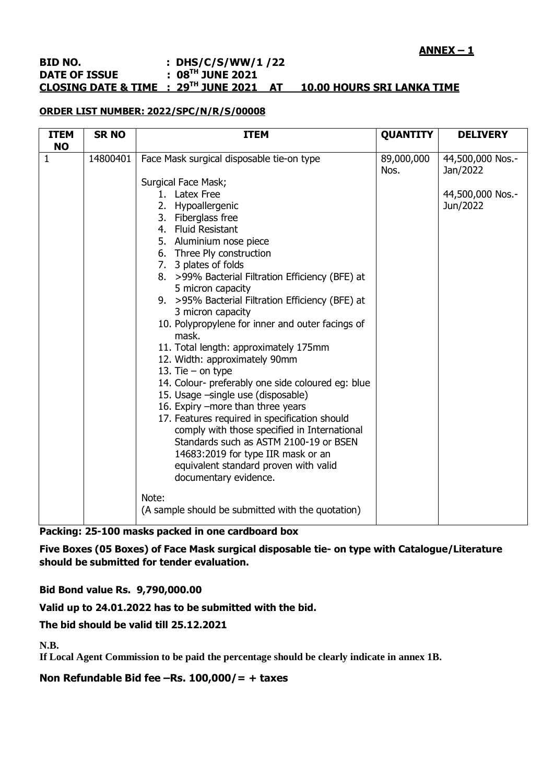#### **BID NO. : DHS/C/S/WW/1 /22 DATE OF ISSUE : 08TH JUNE 2021 CLOSING DATE & TIME : 29TH JUNE 2021 AT 10.00 HOURS SRI LANKA TIME**

#### **ORDER LIST NUMBER: 2022/SPC/N/R/S/00008**

| <b>ITEM</b>               | <b>SR NO</b> | <b>ITEM</b>                                                                                                                                                                                                                                                                                                                                                                                                                                                                                                                                                                                                                                                                                                                                                                                                                           | <b>QUANTITY</b>    | <b>DELIVERY</b>                                              |
|---------------------------|--------------|---------------------------------------------------------------------------------------------------------------------------------------------------------------------------------------------------------------------------------------------------------------------------------------------------------------------------------------------------------------------------------------------------------------------------------------------------------------------------------------------------------------------------------------------------------------------------------------------------------------------------------------------------------------------------------------------------------------------------------------------------------------------------------------------------------------------------------------|--------------------|--------------------------------------------------------------|
| <b>NO</b><br>$\mathbf{1}$ | 14800401     | Face Mask surgical disposable tie-on type<br><b>Surgical Face Mask;</b><br>1. Latex Free<br>2. Hypoallergenic<br>3. Fiberglass free<br>4. Fluid Resistant<br>5. Aluminium nose piece<br>6. Three Ply construction<br>7. 3 plates of folds<br>8. >99% Bacterial Filtration Efficiency (BFE) at<br>5 micron capacity<br>9. > 95% Bacterial Filtration Efficiency (BFE) at<br>3 micron capacity<br>10. Polypropylene for inner and outer facings of<br>mask.<br>11. Total length: approximately 175mm<br>12. Width: approximately 90mm<br>13. Tie $-$ on type<br>14. Colour- preferably one side coloured eg: blue<br>15. Usage -single use (disposable)<br>16. Expiry -more than three years<br>17. Features required in specification should<br>comply with those specified in International<br>Standards such as ASTM 2100-19 or BSEN | 89,000,000<br>Nos. | 44,500,000 Nos.-<br>Jan/2022<br>44,500,000 Nos.-<br>Jun/2022 |
|                           |              | 14683:2019 for type IIR mask or an<br>equivalent standard proven with valid<br>documentary evidence.<br>Note:<br>(A sample should be submitted with the quotation)                                                                                                                                                                                                                                                                                                                                                                                                                                                                                                                                                                                                                                                                    |                    |                                                              |

**Packing: 25-100 masks packed in one cardboard box**

**Five Boxes (05 Boxes) of Face Mask surgical disposable tie- on type with Catalogue/Literature should be submitted for tender evaluation.**

**Bid Bond value Rs. 9,790,000.00**

**Valid up to 24.01.2022 has to be submitted with the bid.**

**The bid should be valid till 25.12.2021**

**N.B.**

**If Local Agent Commission to be paid the percentage should be clearly indicate in annex 1B.**

**Non Refundable Bid fee –Rs. 100,000/= + taxes**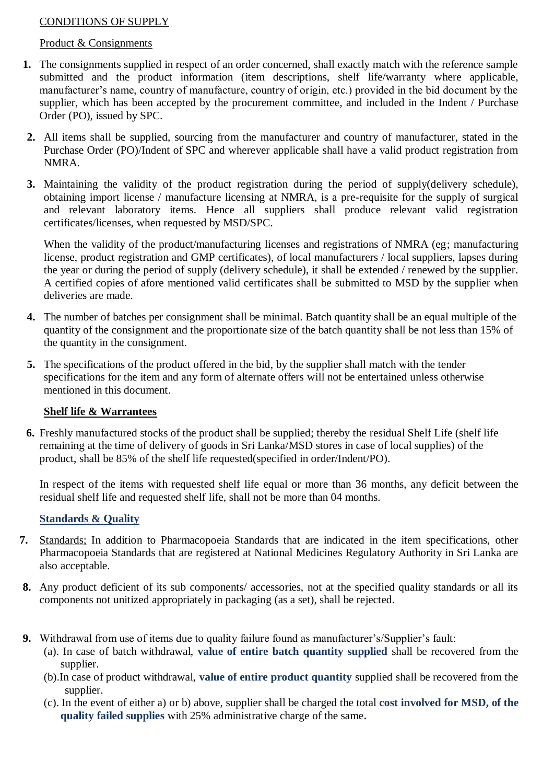# CONDITIONS OF SUPPLY

## Product & Consignments

- **1.** The consignments supplied in respect of an order concerned, shall exactly match with the reference sample submitted and the product information (item descriptions, shelf life/warranty where applicable, manufacturer's name, country of manufacture, country of origin, etc.) provided in the bid document by the supplier, which has been accepted by the procurement committee, and included in the Indent / Purchase Order (PO), issued by SPC.
- **2.** All items shall be supplied, sourcing from the manufacturer and country of manufacturer, stated in the Purchase Order (PO)/Indent of SPC and wherever applicable shall have a valid product registration from NMRA.
- **3.** Maintaining the validity of the product registration during the period of supply(delivery schedule), obtaining import license / manufacture licensing at NMRA, is a pre-requisite for the supply of surgical and relevant laboratory items. Hence all suppliers shall produce relevant valid registration certificates/licenses, when requested by MSD/SPC.

When the validity of the product/manufacturing licenses and registrations of NMRA (eg; manufacturing license, product registration and GMP certificates), of local manufacturers / local suppliers, lapses during the year or during the period of supply (delivery schedule), it shall be extended / renewed by the supplier. A certified copies of afore mentioned valid certificates shall be submitted to MSD by the supplier when deliveries are made.

- **4.** The number of batches per consignment shall be minimal. Batch quantity shall be an equal multiple of the quantity of the consignment and the proportionate size of the batch quantity shall be not less than 15% of the quantity in the consignment.
- **5.** The specifications of the product offered in the bid, by the supplier shall match with the tender specifications for the item and any form of alternate offers will not be entertained unless otherwise mentioned in this document.

## **Shelf life & Warrantees**

**6.** Freshly manufactured stocks of the product shall be supplied; thereby the residual Shelf Life (shelf life remaining at the time of delivery of goods in Sri Lanka/MSD stores in case of local supplies) of the product, shall be 85% of the shelf life requested(specified in order/Indent/PO).

In respect of the items with requested shelf life equal or more than 36 months, any deficit between the residual shelf life and requested shelf life, shall not be more than 04 months.

# **Standards & Quality**

- **7.** Standards; In addition to Pharmacopoeia Standards that are indicated in the item specifications, other Pharmacopoeia Standards that are registered at National Medicines Regulatory Authority in Sri Lanka are also acceptable.
- **8.** Any product deficient of its sub components/ accessories, not at the specified quality standards or all its components not unitized appropriately in packaging (as a set), shall be rejected.
- **9.** Withdrawal from use of items due to quality failure found as manufacturer's/Supplier's fault:
	- (a). In case of batch withdrawal, **value of entire batch quantity supplied** shall be recovered from the supplier.
	- (b).In case of product withdrawal, **value of entire product quantity** supplied shall be recovered from the supplier.
	- (c). In the event of either a) or b) above, supplier shall be charged the total **cost involved for MSD, of the quality failed supplies** with 25% administrative charge of the same**.**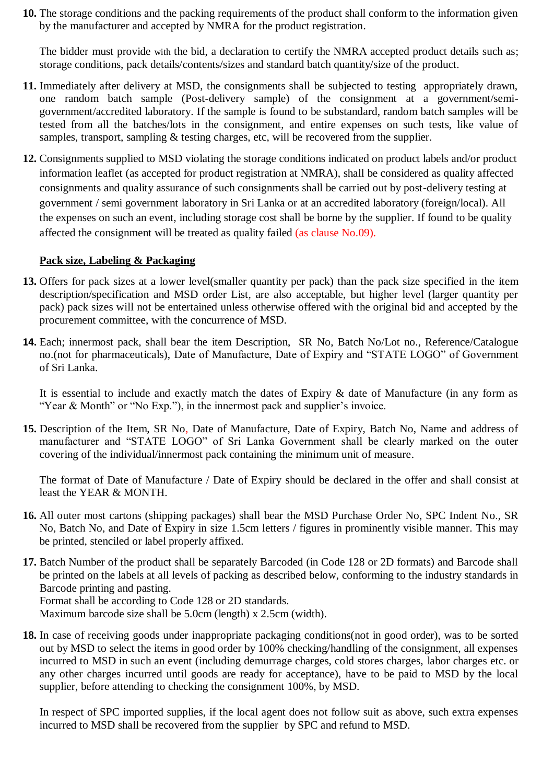**10.** The storage conditions and the packing requirements of the product shall conform to the information given by the manufacturer and accepted by NMRA for the product registration.

The bidder must provide with the bid, a declaration to certify the NMRA accepted product details such as; storage conditions, pack details/contents/sizes and standard batch quantity/size of the product.

- **11.** Immediately after delivery at MSD, the consignments shall be subjected to testing appropriately drawn, one random batch sample (Post-delivery sample) of the consignment at a government/semigovernment/accredited laboratory. If the sample is found to be substandard, random batch samples will be tested from all the batches/lots in the consignment, and entire expenses on such tests, like value of samples, transport, sampling & testing charges, etc, will be recovered from the supplier.
- **12.** Consignments supplied to MSD violating the storage conditions indicated on product labels and/or product information leaflet (as accepted for product registration at NMRA), shall be considered as quality affected consignments and quality assurance of such consignments shall be carried out by post-delivery testing at government / semi government laboratory in Sri Lanka or at an accredited laboratory (foreign/local). All the expenses on such an event, including storage cost shall be borne by the supplier. If found to be quality affected the consignment will be treated as quality failed (as clause No.09).

## **Pack size, Labeling & Packaging**

- **13.** Offers for pack sizes at a lower level(smaller quantity per pack) than the pack size specified in the item description/specification and MSD order List, are also acceptable, but higher level (larger quantity per pack) pack sizes will not be entertained unless otherwise offered with the original bid and accepted by the procurement committee, with the concurrence of MSD.
- **14.** Each; innermost pack, shall bear the item Description, SR No, Batch No/Lot no., Reference/Catalogue no.(not for pharmaceuticals), Date of Manufacture, Date of Expiry and "STATE LOGO" of Government of Sri Lanka.

It is essential to include and exactly match the dates of Expiry & date of Manufacture (in any form as "Year & Month" or "No Exp."), in the innermost pack and supplier's invoice.

**15.** Description of the Item, SR No, Date of Manufacture, Date of Expiry, Batch No, Name and address of manufacturer and "STATE LOGO" of Sri Lanka Government shall be clearly marked on the outer covering of the individual/innermost pack containing the minimum unit of measure.

The format of Date of Manufacture / Date of Expiry should be declared in the offer and shall consist at least the YEAR & MONTH.

- **16.** All outer most cartons (shipping packages) shall bear the MSD Purchase Order No, SPC Indent No., SR No, Batch No, and Date of Expiry in size 1.5cm letters / figures in prominently visible manner. This may be printed, stenciled or label properly affixed.
- **17.** Batch Number of the product shall be separately Barcoded (in Code 128 or 2D formats) and Barcode shall be printed on the labels at all levels of packing as described below, conforming to the industry standards in Barcode printing and pasting. Format shall be according to Code 128 or 2D standards. Maximum barcode size shall be 5.0cm (length) x 2.5cm (width).
- **18.** In case of receiving goods under inappropriate packaging conditions(not in good order), was to be sorted out by MSD to select the items in good order by 100% checking/handling of the consignment, all expenses incurred to MSD in such an event (including demurrage charges, cold stores charges, labor charges etc. or any other charges incurred until goods are ready for acceptance), have to be paid to MSD by the local supplier, before attending to checking the consignment 100%, by MSD.

In respect of SPC imported supplies, if the local agent does not follow suit as above, such extra expenses incurred to MSD shall be recovered from the supplier by SPC and refund to MSD.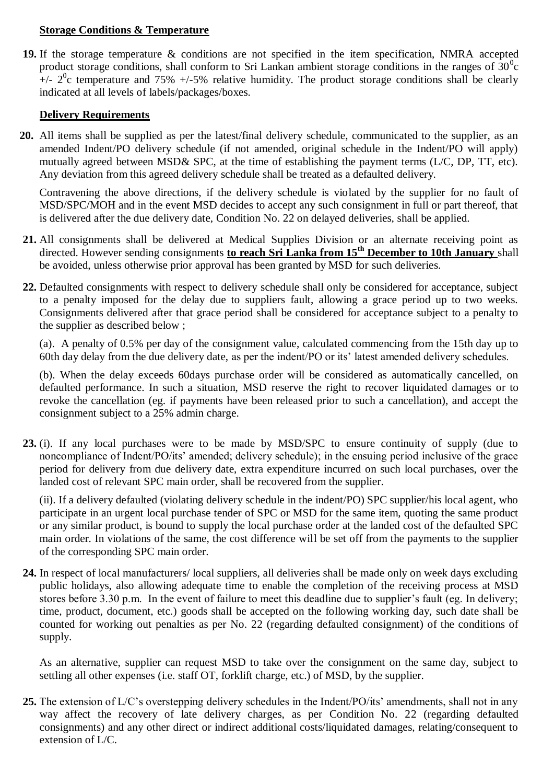## **Storage Conditions & Temperature**

**19.** If the storage temperature & conditions are not specified in the item specification, NMRA accepted product storage conditions, shall conform to Sri Lankan ambient storage conditions in the ranges of  $30^{\circ}$ c  $+/- 2$ <sup>0</sup>c temperature and 75%  $+/-5$ % relative humidity. The product storage conditions shall be clearly indicated at all levels of labels/packages/boxes.

## **Delivery Requirements**

**20.** All items shall be supplied as per the latest/final delivery schedule, communicated to the supplier, as an amended Indent/PO delivery schedule (if not amended, original schedule in the Indent/PO will apply) mutually agreed between MSD& SPC, at the time of establishing the payment terms (L/C, DP, TT, etc). Any deviation from this agreed delivery schedule shall be treated as a defaulted delivery.

Contravening the above directions, if the delivery schedule is violated by the supplier for no fault of MSD/SPC/MOH and in the event MSD decides to accept any such consignment in full or part thereof, that is delivered after the due delivery date, Condition No. 22 on delayed deliveries, shall be applied.

- **21.** All consignments shall be delivered at Medical Supplies Division or an alternate receiving point as directed. However sending consignments **to reach Sri Lanka from 15th December to 10th January** shall be avoided, unless otherwise prior approval has been granted by MSD for such deliveries.
- **22.** Defaulted consignments with respect to delivery schedule shall only be considered for acceptance, subject to a penalty imposed for the delay due to suppliers fault, allowing a grace period up to two weeks. Consignments delivered after that grace period shall be considered for acceptance subject to a penalty to the supplier as described below ;

(a). A penalty of 0.5% per day of the consignment value, calculated commencing from the 15th day up to 60th day delay from the due delivery date, as per the indent/PO or its' latest amended delivery schedules.

(b). When the delay exceeds 60days purchase order will be considered as automatically cancelled, on defaulted performance. In such a situation, MSD reserve the right to recover liquidated damages or to revoke the cancellation (eg. if payments have been released prior to such a cancellation), and accept the consignment subject to a 25% admin charge.

**23.** (i). If any local purchases were to be made by MSD/SPC to ensure continuity of supply (due to noncompliance of Indent/PO/its' amended; delivery schedule); in the ensuing period inclusive of the grace period for delivery from due delivery date, extra expenditure incurred on such local purchases, over the landed cost of relevant SPC main order, shall be recovered from the supplier.

(ii). If a delivery defaulted (violating delivery schedule in the indent/PO) SPC supplier/his local agent, who participate in an urgent local purchase tender of SPC or MSD for the same item, quoting the same product or any similar product, is bound to supply the local purchase order at the landed cost of the defaulted SPC main order. In violations of the same, the cost difference will be set off from the payments to the supplier of the corresponding SPC main order.

**24.** In respect of local manufacturers/ local suppliers, all deliveries shall be made only on week days excluding public holidays, also allowing adequate time to enable the completion of the receiving process at MSD stores before 3.30 p.m. In the event of failure to meet this deadline due to supplier's fault (eg. In delivery; time, product, document, etc.) goods shall be accepted on the following working day, such date shall be counted for working out penalties as per No. 22 (regarding defaulted consignment) of the conditions of supply.

As an alternative, supplier can request MSD to take over the consignment on the same day, subject to settling all other expenses (i.e. staff OT, forklift charge, etc.) of MSD, by the supplier.

**25.** The extension of L/C's overstepping delivery schedules in the Indent/PO/its' amendments, shall not in any way affect the recovery of late delivery charges, as per Condition No. 22 (regarding defaulted consignments) and any other direct or indirect additional costs/liquidated damages, relating/consequent to extension of L/C.